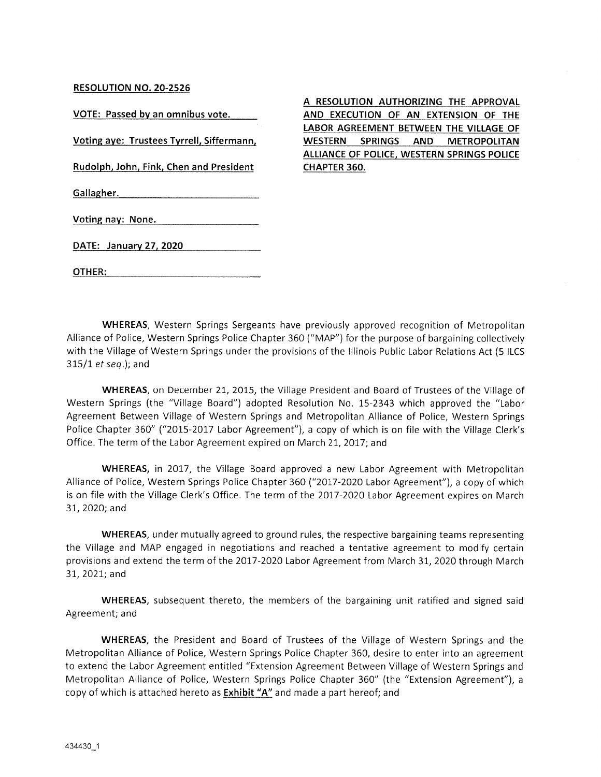#### RESOLUTION NO. 20-2526

VOTE: Passed by an omnibus vote.

Voting aye: Trustees Tyrrell, Siffermann,

Rudolph, John, Fink, Chen and President

Gallagher.

Voting nay: None.

DATE: January 27,2020

OTHER:

WHEREAS, Western Springs Sergeants have previously approved recognition of Metropolitan Alliance of Police, Western Springs Police Chapter 360 ("MAP") for the purpose of bargaining collectively with the Village of Western Springs under the provisions of the Illinois Public Labor Relations Act (5 ILCS  $315/1$  et seq.); and

CHAPTER 360.

A RESOLUTION AUTHORIZING THE APPROVAL AND EXECUTION OF AN EXTENSION OF THE LABOR AGREEMENT BETWEEN THE VILLAGE OF WESTERN SPRINGS AND METROPOLITAN ALLIANCE OF POLICE, WESTERN SPRINGS POLICE

WHEREAS, on December 21, 2015, the Village President and Board of Trustees of the Village of Western Springs (the "Village Board") adopted Resolution No. 15-2343 which approved the "Labor Agreement Between Village of Western Springs and Metropolitan Alliance of Police, Western Springs Police Chapter 360" ("2015-2017 Labor Agreement"), a copy of which is on file with the Village Clerk's Office. The term of the Labor Agreement expired on March 21, 2017; and

WHEREAS, in 2017, the Village Board approved a new Labor Agreement with Metropolitan Alliance of Police, Western Springs Police Chapter 360 ("2017-2020 Labor Agreement"), a copy of which is on file with the Village Clerk's Office. The term of the 2017-2020 Labor Agreement expires on March 31,2020; and

WHEREAS, under mutually agreed to ground rules, the respective bargaining teams representing the Village and MAP engaged in negotiations and reached a tentative agreement to modify certain provisions and extend the term of the 2017-2020 Labor Agreement from March 31, 2020 through March 31,2021; and

WHEREAS, subsequent thereto, the members of the bargaining unit ratified and signed said Agreement; and

WHEREAS, the President and Board of Trustees of the Village of Western Springs and the Metropolitan Alliance of Police, Western Springs Police Chapter 360, desire to enter into an agreement to extend the Labor Agreement entitled "Extension Agreement Between Village of Western Springs and Metropolitan Alliance of Police, Western Springs Police Chapter 360" (the "Extension Agreement"), a copy of which is attached hereto as Exhibit "A" and made a part hereof; and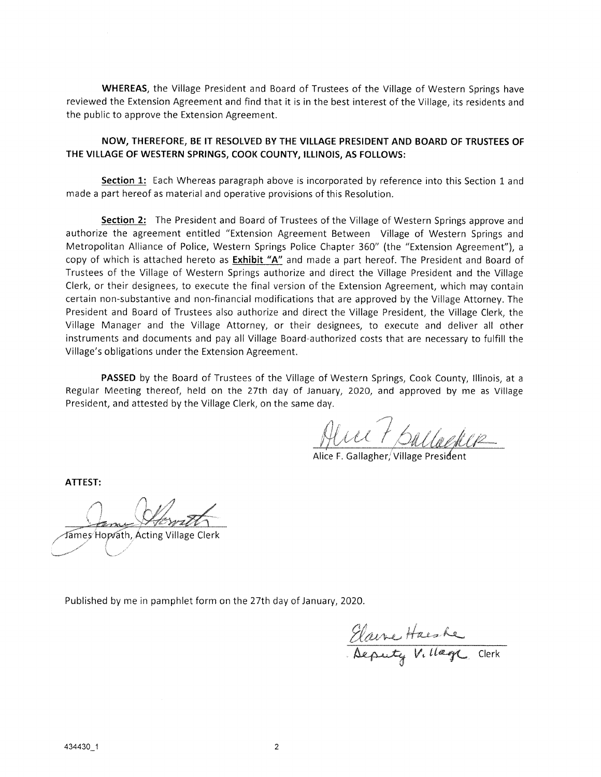WHEREAS, the Village President and Board of Trustees of the Village of Western Springs have reviewed the Extension Agreement and find that it is in the best interest of the Village, its residents and the public to approve the Extension Agreement.

#### NOW, THEREFORE, BE IT RESOLVED BY THE VILLAGE PRESIDENT AND BOARD OF TRUSTEES OF THE VILLAGE OF WESTERN SPRINGS, COOK COUNTY, ILLINOIS, AS FOLLOWS:

Section 1: Each Whereas paragraph above is incorporated by reference into this Section 1 and made a part hereof as material and operative provisions of this Resolution.

Section 2: The President and Board of Trustees of the Village of Western Springs approve and authorize the agreement entitled "Extension Agreement Between Village of Western Springs and Metropolitan Alliance of Police, Western Springs Police Chapter 360" (the "Extension Agreement"), a copy of which is attached hereto as Exhibit "A" and made a part hereof. The President and Board of Trustees of the Village of Western Springs authorize and direct the Village President and the Village Clerk, or their designees, to execute the final version of the Extension Agreement, which may contain certain non-substantive and non-financial modifications that are approved by the Village Attorney. The President and Board of Trustees also authorize and direct the Village President, the Village Clerk, the Village Manager and the Village Attorney, or their designees, to execute and deliver all other instruments and documents and pay all Village Board-authorized costs that are necessary to fulfill the Village's obligations under the Extension Agreement.

PASSED by the Board of Trustees of the Village of Western Springs, Cook County, Illinois, at a Regular Meeting thereof, held on the 27th day of January, 2020, and approved by me as Village President, and attested by the Village Clerk, on the same day.

Alve + ballaghe

Alice F. Gallagher, Village President

ATTEST:

Lame Howitt James Hopvath, Acting Village Clerk

Published by me in pamphlet form on the 27th day of January, 2020.

Elano Harshe . Deputy Village Clerk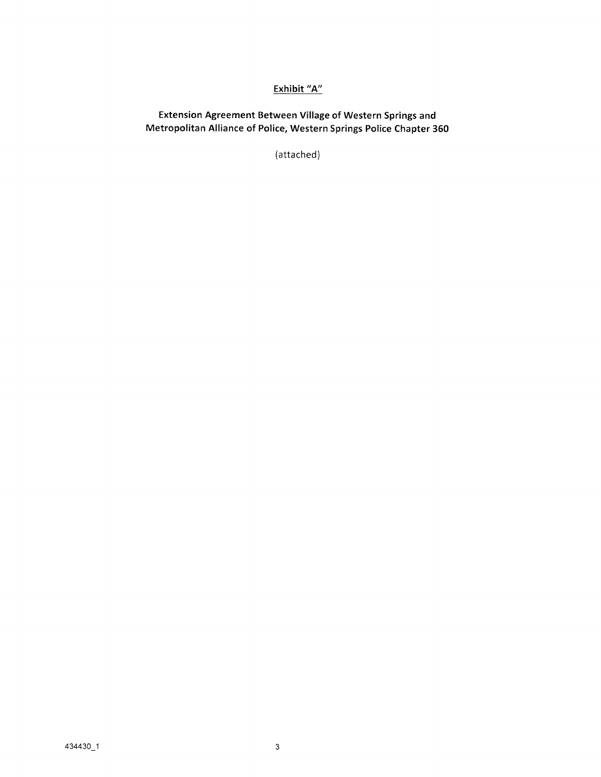# Exhibit "A"

Extension Agreement Between Village of Western Springs and Metropolitan Alliance of Police, Western Springs Police Chapter 360

(attached)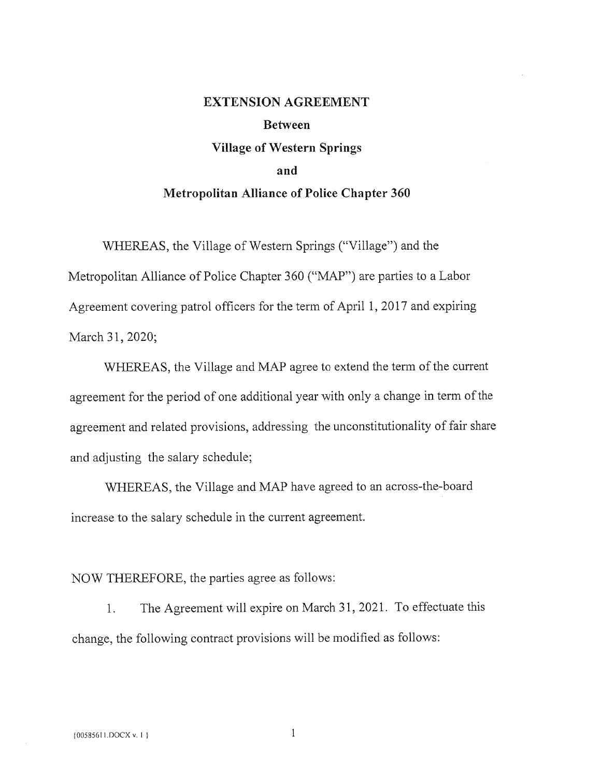# EXTENSION AGREEMENT Between Village of Western Springs and Metropolitan Alliance of Police Chapter 360

WHEREAS, the Village of Western Springs ("Village") and the Metropolitan Alliance of Police Chapter 360 ("MAP") are parties to a Labor Agreement covering patrol officers for the term of April 1, 2017 and expiring March 31,2020;

WHEREAS, the Village and MAP agree to extend the term of the current agreement for the period of one additional year with only a change in term of the agreement and related provisions, addressing the unconstitutionality of fair share and adjusting the salary schedule;

WHEREAS, the Village and MAP have agreed to an across-the-board increase to the salary schedule in the current agreement.

## NOW THEREFORE, the parties agree as follows:

1. The Agreement will expire on March 31, 2021. To effectuate this change, the following contract provisions will be modified as follows:

1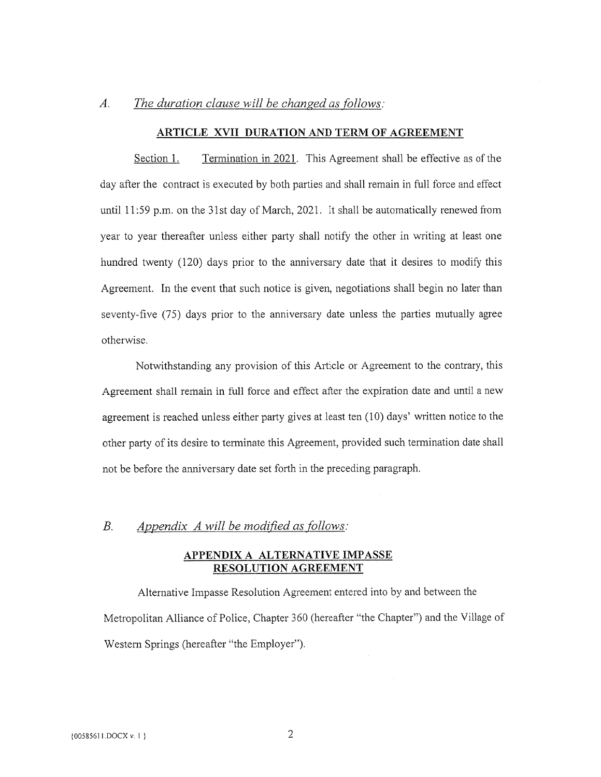# A. The duration clause will be changed as follows:

#### ARTICLE XVII DURATION AND TERM OF AGREEMENT

Section 1. Termination in 2021. This Agreement shall be effective as of the day after the contract is executed by both parties and shall remain in full force and effect until 11:59 p.m. on the 31st day of March, 2021. It shall be automatically renewed from year to year thereafter unless either party shall notify the other in writing at least one hundred twenty (120) days prior to the anniversary date that it desires to modify this Agreement. In the event that such notice is given, negotiations shall begin no later than seventy-five (75) days prior to the anniversary date unless the parties mutually agree otherwise.

Notwithstanding any provision of this Article or Agreement to the contrary, this Agreement shall remain in full force and effect after the expiration date and until a new agreement is reached unless either party gives at least ten (10) days' written notice to the other party of its desire to temiinate this Agreement, provided such termination date shall not be before the anniversary date set forth in the preceding paragraph.

#### B. Appendix A will be modified as follows:

#### APPENDIX A ALTERNATIVE IMPASSE RESOLUTION AGREEMENT

Alternative Impasse Resolution Agreement entered into by and between the Metropolitan Alliance of Police, Chapter 360 (hereafter "the Chapter") and the Village of Western Springs (hereafter "the Employer").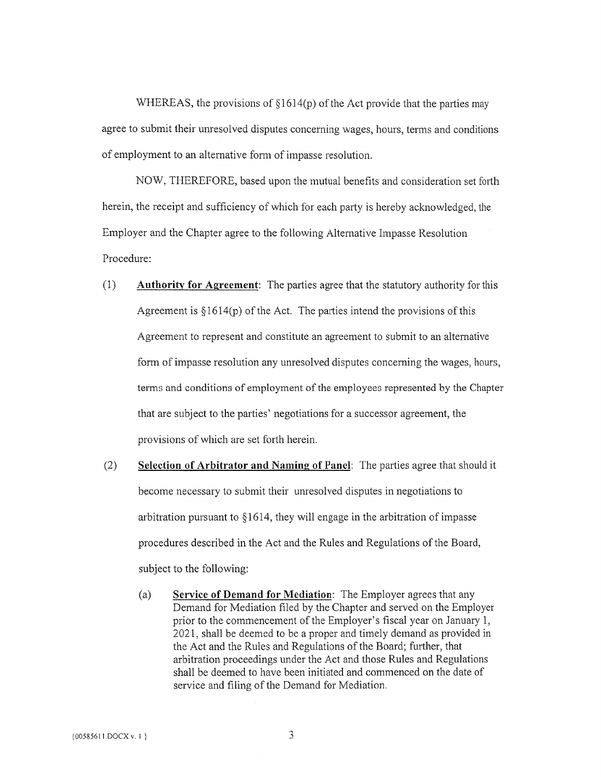WHEREAS, the provisions of §1614(p) of the Act provide that the parties may agree to submit their unresolved disputes concerning wages, hours, terms and conditions of employment to an alternative form of impasse resolution.

NOW, THEREFORE, based upon the mutual benefits and consideration set forth herein, the receipt and sufficiency of which for each party is hereby acknowledged, the Employer and the Chapter agree to the following Alternative Impasse Resolution Procedure:

- (1) Authority for Agreement: The parties agree that the statutory authority for this Agreement is  $\S 1614(p)$  of the Act. The parties intend the provisions of this Agreement to represent and constitute an agreement to submit to an alternative form of impasse resolution any unresolved disputes concerning the wages, hours, terms and conditions of employment of the employees represented by the Chapter that are subject to the parties' negotiations for a successor agreement, the provisions of which are set forth herein.
- (2) Selection of Arbitrator and Namine of Panel: The parties agree that should it become necessary to submit their unresolved disputes in negotiations to arbitration pursuant to §1614, they will engage in the arbitration of impasse procedures described in the Act and the Rules and Regulations of the Board, subject to the following:
	- (a) Service of Demand for Mediation: The Employer agrees that any Demand for Mediation filed by the Chapter and served on the Employer prior to the commencement of the Employer's fiscal year on January 1, 2021, shall be deemed to be a proper and timely demand as provided in the Act and the Rules and Regulations of the Board; further, that arbitration proceedings under the Act and those Rules and Regulations shall be deemed to have been initiated and commenced on the date of service and filing of the Demand for Mediation.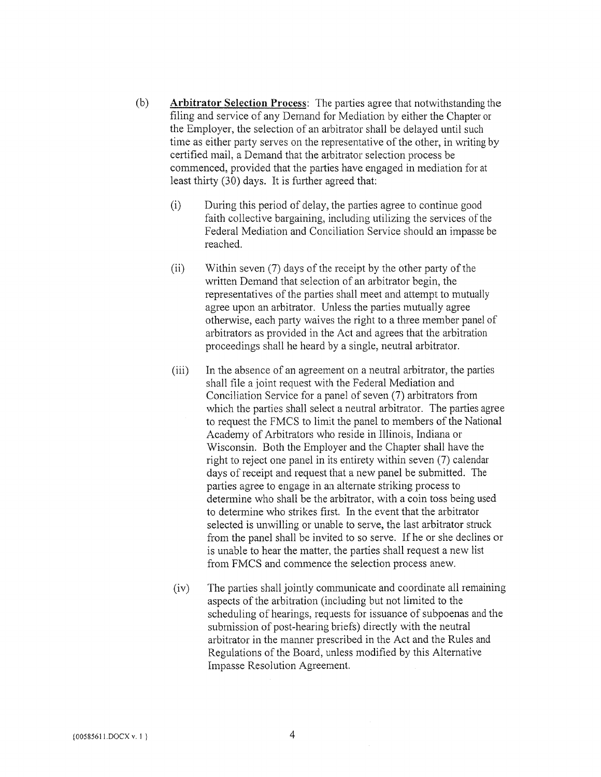- (b) Arbitrator Selection Process: The parties agree that notwithstanding the filing and service of any Demand for Mediation by either the Chapter or the Employer, the selection of an arbitrator shall be delayed until such time as either party serves on the representative of the other, in writing by certified mail, a Demand that the arbitrator selection process be commenced, provided that the parties have engaged in mediation for at least thirty (30) days. It is further agreed that:
	- (i) During this period of delay, the parties agree to continue good faith collective bargaining, including utilizing the services of the Federal Mediation and Conciliation Service should an impasse be reached.
	- (ii) Within seven (7) days of the receipt by the other party of the written Demand that selection of an arbitrator begin, the representatives of the parties shall meet and attempt to mutually agree upon an arbitrator. Unless the parties mutually agree otherwise, each party waives the right to a three member panel of arbitrators as provided in the Act and agrees that the arbitration proceedings shall he heard by a single, neutral arbitrator.
	- (iii) In the absence of an agreement on a neutral arbitrator, the parties shall file a joint request with the Federal Mediation and Conciliation Service for a panel of seven (7) arbitrators from which the parties shall select a neutral arbitrator. The parties agree to request the FMCS to limit the panel to members of the National Academy of Arbitrators who reside in Illinois, Indiana or Wisconsin, Both the Employer and the Chapter shall have the right to reject one panel in its entirety within seven (7) calendar days of receipt and request that a new panel be submitted. The parties agree to engage in an alternate striking process to determine who shall be the arbitrator, with a coin toss being used to determine who strikes first. In the event that the arbitrator selected is unwilling or unable to serve, the last arbitrator struck from the panel shall be invited to so serve. If he or she declines or is unable to hear the matter, the parties shall request a new list from FMCS and commence the selection process anew.
	- (iv) The parties shall jointly communicate and coordinate all remaining aspects of the arbitration (including but not limited to the scheduling of hearings, requests for issuance of subpoenas and the submission of post-hearing briefs) directly with the neutral arbitrator in the manner prescribed in the Act and the Rules and Regulations of the Board, unless modified by this Alternative Impasse Resolution Agreement.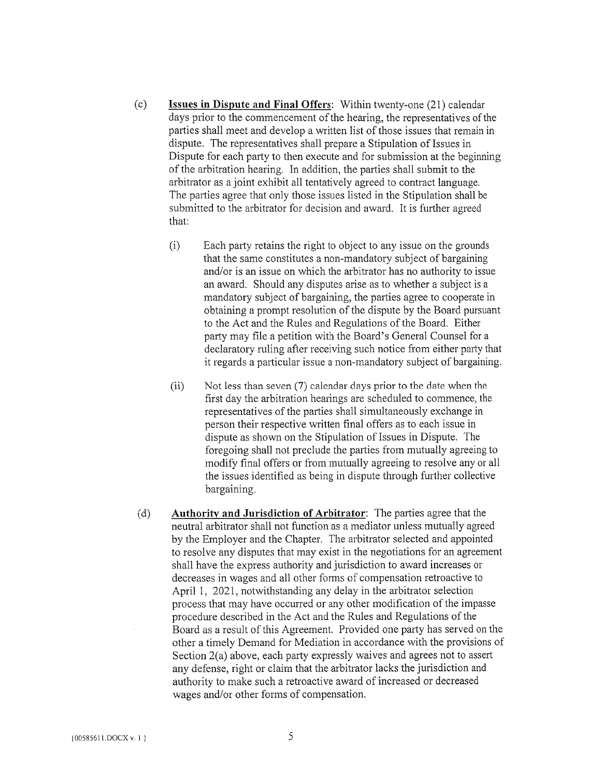- (c) Issues in Dispute and Final Offers: Within twenty-one (21) calendar days prior to the commencement of the hearing, the representatives of the parties shall meet and develop a written list of those issues that remain in dispute. The representatives shall prepare a Stipulation of Issues in Dispute for each party to then execute and for submission at the beginning of the arbitration hearing. In addition, the parties shall submit to the arbitrator as a joint exhibit all tentatively agreed to contract language, The parties agree that only those issues listed in the Stipulation shall be submitted to the arbitrator for decision and award. It is further agreed that:
	- (i) Each party retains the right to object to any issue on the grounds that the same constitutes a non-mandatory subject of bargaining and/or is an issue on which the arbitrator has no authority to issue an award. Should any disputes arise as to whether a subject is a mandatory subject of bargaining, the parties agree to cooperate in obtaining a prompt resolution of the dispute by the Board pursuant to the Act and the Rules and Regulations of the Board. Either party may file a petition with the Board's General Counsel for a declaratory ruling after receiving such notice from either party that it regards a particular issue a non-mandatory subject of bargaining.
	- $(i)$  Not less than seven (7) calendar days prior to the date when the first day the arbitration hearings are scheduled to commence, the representatives of the parties shall simultaneously exchange in person their respective written final offers as to each issue in dispute as shown on the Stipulation of Issues in Dispute. The foregoing shall not preclude the parties from mutually agreeing to modify final offers or from mutually agreeing to resolve any or all the issues identified as being in dispute through further collective bargaining.
- (d) Authority and Jurisdiction of Arbitrator: The parties agree that the neutral arbitrator shall not function as a mediator unless mutually agreed by the Employer and the Chapter. The arbitrator selected and appointed to resolve any disputes that may exist in the negotiations for an agreement shall have the express authority and jurisdiction to award increases or decreases in wages and all other fonns of compensation retroactive to April 1, 2021, notwithstanding any delay in the arbitrator selection process that may have occurred or any other modification of the impasse procedure described in the Act and the Rules and Regulations of the Board as a result of this Agreement. Provided one party has served on the other a timely Demand for Mediation in accordance with the provisions of Section 2(a) above, each party expressly waives and agrees not to assert any defense, right or claim that the arbitrator lacks the jurisdiction and authority to make such a retroaetive award of increased or decreased wages and/or other forms of compensation.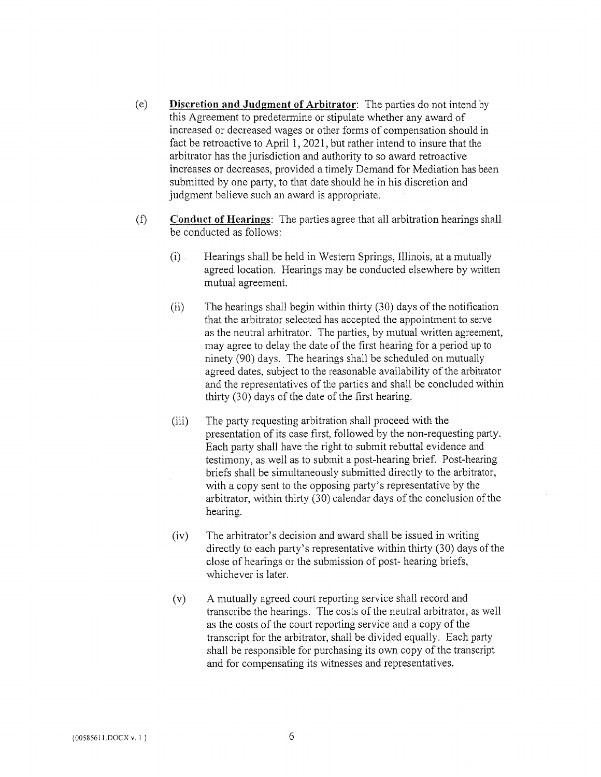- (e) Discretion and Judgment of Arbitrator: The parties do not intend by this Agreement to predetermine or stipulate whether any award of increased or decreased wages or other forms of compensation should in fact be retroactive to April 1, 2021, but rather intend to insure that the arbitrator has the jurisdiction and authority to so award retroactive increases or decreases, provided a timely Demand for Mediation has been submitted by one party, to that date should he in his discretion and judgment believe such an award is appropriate.
- (f) Conduct of Hearings: The parties agree that all arbitration hearings shall be conducted as follows:
	- (i) Hearings shall be held in Western Springs, Illinois, at a mutually agreed location. Hearings may be conducted elsewhere by written mutual agreement.
	- (ii) The hearings shall begin within thirty (30) days of the notification that the arbitrator selected has accepted the appointment to serve as the neutral arbitrator. The parties, by mutual written agreement, may agree to delay the date of the first hearing for a period up to ninety (90) days. The hearings shall be scheduled on mutually agreed dates, subject to the reasonable availability of the arbitrator and the representatives of the parties and shall be concluded within thirty (30) days of the date of the first hearing.
	- (iii) The party requesting arbitration shall proceed with the presentation of its case first, followed by the non-requesting party. Each party shall have the right to submit rebuttal evidence and testimony, as well as to submit a post-hearing brief. Post-hearing briefs shall be simultaneously submitted directly to the arbitrator, with a copy sent to the opposing party's representative by the arbitrator, within thirty (30) calendar days of the conclusion of the hearing.
	- (iv) The arbitrator's decision and award shall be issued in writing directly to each party's representative within thirty (30) days of the close of hearings or the submission of post- hearing briefs, whichever is later.
	- (v) A mutually agreed court reporting service shall record and transcribe the hearings. The costs of the neutral arbitrator, as well as the costs of the court reporting service and a copy of the transcript for the arbitrator, shall be divided equally. Each party shall be responsible for purchasing its own copy of the transcript and for compensating its witnesses and representatives.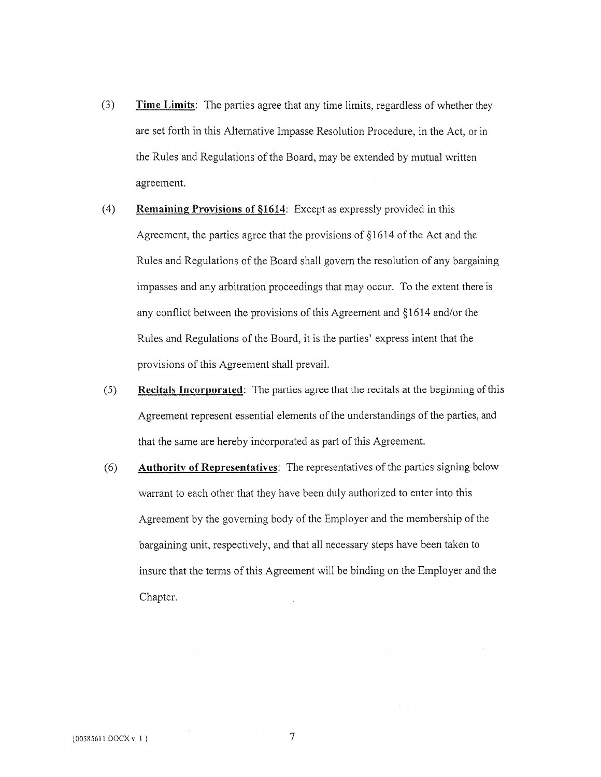- (3) Time Limits: The parties agree that any time limits, regardless of whether they are set forth in this Alternative Impasse Resolution Procedure, in the Act, or in the Rules and Regulations of the Board, may be extended by mutual written agreement.
- (4) Remaining Provisions of §1614: Except as expressly provided in this Agreement, the parties agree that the provisions of  $§1614$  of the Act and the Rules and Regulations of the Board shall govern the resolution of any bargaining impasses and any arbitration proceedings that may occur. To the extent there is any conflict between the provisions of this Agreement and §1614 and/or the Rules and Regulations of the Board, it is the parties' express intent that the provisions of this Agreement shall prevail.
- (5) Recitals Incorporated: The parties agree that the recitals at the beginning of this Agreement represent essential elements of the understandings of the parties, and that the same are hereby incorporated as part of this Agreement.
- (6) Authority of Representatives: The representatives of the parties signing beiow warrant to each other that they have been duly authorized to enter into this Agreement by the governing body of the Employer and the membership of the bargaining unit, respectively, and that all necessary steps have been taken to insure that the terms of this Agreement will be binding on the Employer and the Chapter.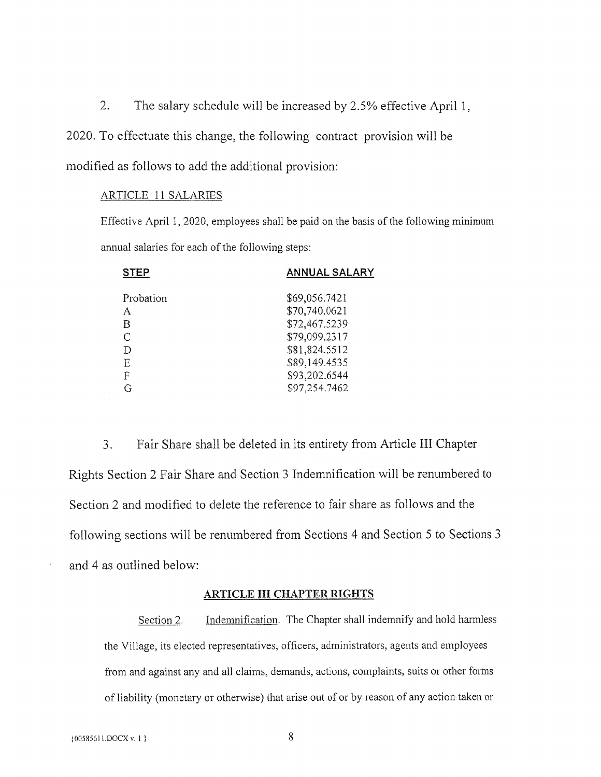2. The salary schedule will be increased by 2.5% effective April 1,

2020. To effectuate this change, the following contract provision will be

modified as follows to add the additional provision:

#### ARTICLE 11 SALARIES

Effective April 1, 2020, employees shall be paid on the basis of the following minimum annual salaries for each of the following steps:

| <b>STEP</b> | <b>ANNUAL SALARY</b> |
|-------------|----------------------|
| Probation   | \$69,056.7421        |
| A           | \$70,740.0621        |
| В           | \$72,467.5239        |
| C           | \$79,099.2317        |
| D           | \$81,824.5512        |
| E           | \$89,149.4535        |
| F           | \$93,202.6544        |
| G           | \$97,254.7462        |

3. Fair Share shall be deleted in its entirety from Article III Chapter Rights Section 2 Fair Share and Section 3 Indemnification will be renumbered to Section 2 and modified to delete the reference to fair share as follows and the following sections will be renumbered from Sections 4 and Section 5 to Sections 3 and 4 as outlined below:

### ARTICLE III CHAPTER RIGHTS

Section 2. Indemnification. The Chapter shall indemnify and hold harmless the Village, its elected representatives, officers, administrators, agents and employees from and against any and all claims, demands, actions, complaints, suits or other forms of liability (monetary or otherwise) that arise out of or by reason of any action taken or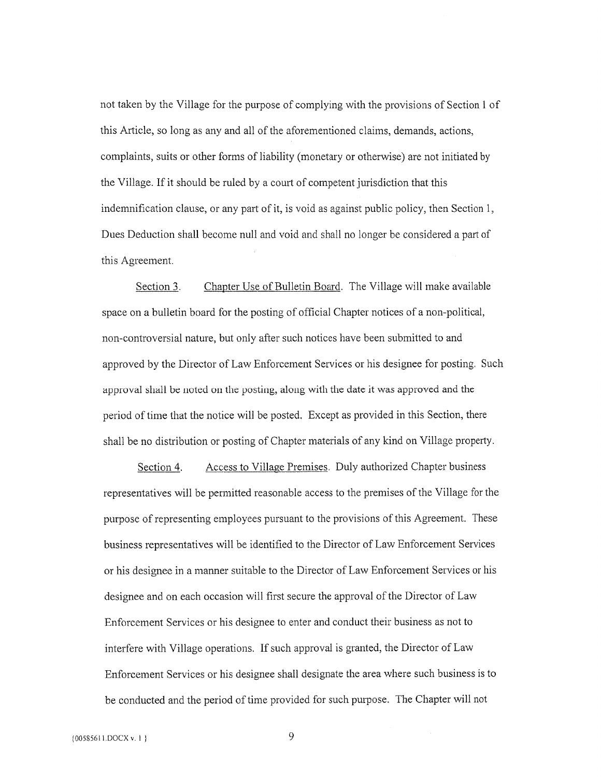not taken by the Village for the purpose of complying with the provisions of Section 1 of this Article, so long as any and all of the aforementioned claims, demands, actions, complaints, suits or other forms of liability (monetary or otherwise) are not initiated by the Village. If it should be ruled by a court of competent jurisdiction that this indemnification clause, or any part of it, is void as against public policy, then Section 1, Dues Deduction shall become null and void and shall no longer be considered a part of this Agreement.

Section 3. Chapter Use of Bulletin Board. The Village will make available space on a bulletin board for the posting of official Chapter notices of a non-political, non-controversial nature, but only after such notices have been submitted to and approved by the Director of Law Enforcement Services or his designee for posting. Such approval shall be noted on the posting, along with the date it was approved and the period of time that the notice will be posted. Except as provided in this Section, there shall be no distribution or posting of Chapter materials of any kind on Village property.

Section 4. Access to Village Premises. Duly authorized Chapter business representatives will be permitted reasonable access to the premises of the Village for the purpose of representing employees pursuant to the provisions of this Agreement. These business representatives will be identified to the Director of Law Enforcement Services or his designee in a manner suitable to the Director of Law Enforcement Services or his designee and on each occasion will first secure the approval of the Director of Law Enforcement Services or his designee to enter and conduct their business as not to interfere with Village operations. If such approval is granted, the Direetor of Law Enforcement Services or his designee shall designate the area where such business is to be conducted and the period of time provided for such purpose. The Chapter will not

9